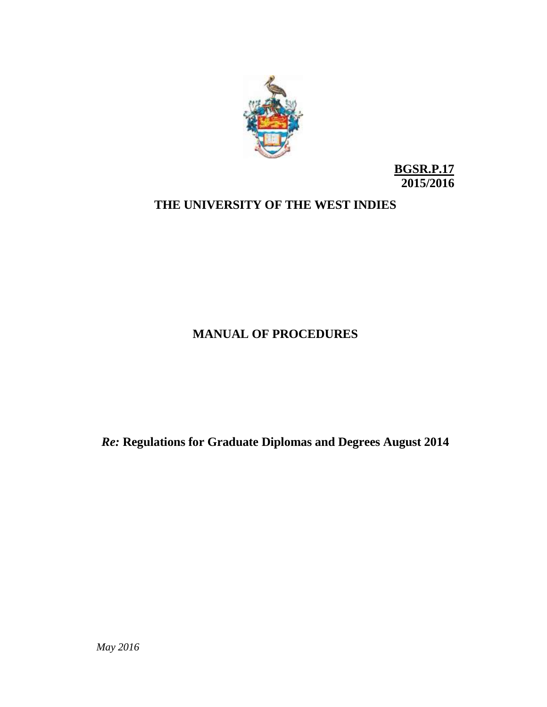

**BGSR.P.17 2015/2016**

## **THE UNIVERSITY OF THE WEST INDIES**

## **MANUAL OF PROCEDURES**

*Re:* **Regulations for Graduate Diplomas and Degrees August 2014**

*May 2016*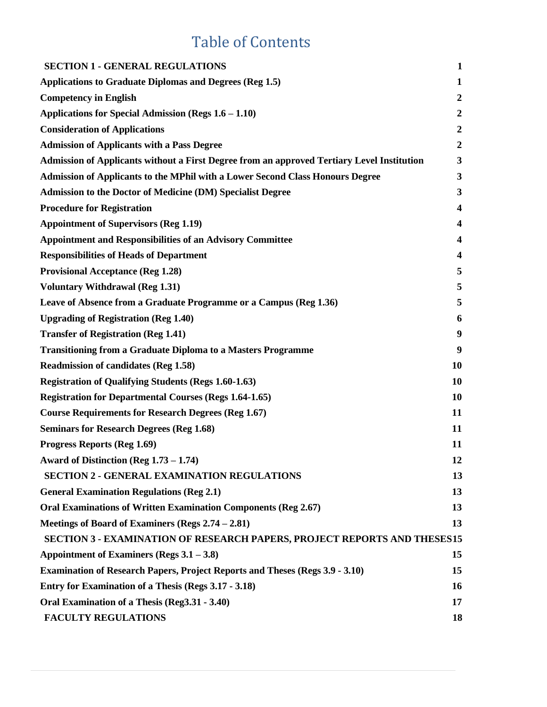# Table of Contents

| <b>SECTION 1 - GENERAL REGULATIONS</b>                                                     | $\mathbf{1}$     |
|--------------------------------------------------------------------------------------------|------------------|
| <b>Applications to Graduate Diplomas and Degrees (Reg 1.5)</b>                             | $\mathbf 1$      |
| <b>Competency in English</b>                                                               | $\boldsymbol{2}$ |
| Applications for Special Admission (Regs $1.6 - 1.10$ )                                    | $\boldsymbol{2}$ |
| <b>Consideration of Applications</b>                                                       | $\boldsymbol{2}$ |
| <b>Admission of Applicants with a Pass Degree</b>                                          | $\boldsymbol{2}$ |
| Admission of Applicants without a First Degree from an approved Tertiary Level Institution | 3                |
| <b>Admission of Applicants to the MPhil with a Lower Second Class Honours Degree</b>       | 3                |
| <b>Admission to the Doctor of Medicine (DM) Specialist Degree</b>                          | 3                |
| <b>Procedure for Registration</b>                                                          | 4                |
| <b>Appointment of Supervisors (Reg 1.19)</b>                                               | 4                |
| <b>Appointment and Responsibilities of an Advisory Committee</b>                           | 4                |
| <b>Responsibilities of Heads of Department</b>                                             | 4                |
| <b>Provisional Acceptance (Reg 1.28)</b>                                                   | 5                |
| <b>Voluntary Withdrawal (Reg 1.31)</b>                                                     | 5                |
| Leave of Absence from a Graduate Programme or a Campus (Reg 1.36)                          | 5                |
| <b>Upgrading of Registration (Reg 1.40)</b>                                                | 6                |
| <b>Transfer of Registration (Reg 1.41)</b>                                                 | 9                |
| <b>Transitioning from a Graduate Diploma to a Masters Programme</b>                        | 9                |
| <b>Readmission of candidates (Reg 1.58)</b>                                                | <b>10</b>        |
| <b>Registration of Qualifying Students (Regs 1.60-1.63)</b>                                | <b>10</b>        |
| <b>Registration for Departmental Courses (Regs 1.64-1.65)</b>                              | <b>10</b>        |
| <b>Course Requirements for Research Degrees (Reg 1.67)</b>                                 | 11               |
| <b>Seminars for Research Degrees (Reg 1.68)</b>                                            | 11               |
| <b>Progress Reports (Reg 1.69)</b>                                                         | 11               |
| Award of Distinction (Reg $1.73 - 1.74$ )                                                  | 12               |
| <b>SECTION 2 - GENERAL EXAMINATION REGULATIONS</b>                                         | 13               |
| <b>General Examination Regulations (Reg 2.1)</b>                                           | 13               |
| <b>Oral Examinations of Written Examination Components (Reg 2.67)</b>                      | 13               |
| Meetings of Board of Examiners (Regs 2.74 – 2.81)                                          | 13               |
| SECTION 3 - EXAMINATION OF RESEARCH PAPERS, PROJECT REPORTS AND THESES15                   |                  |
| Appointment of Examiners (Regs $3.1 - 3.8$ )                                               | 15               |
| <b>Examination of Research Papers, Project Reports and Theses (Regs 3.9 - 3.10)</b>        | 15               |
| <b>Entry for Examination of a Thesis (Regs 3.17 - 3.18)</b>                                | <b>16</b>        |
| Oral Examination of a Thesis (Reg3.31 - 3.40)                                              | 17               |
| <b>FACULTY REGULATIONS</b>                                                                 | 18               |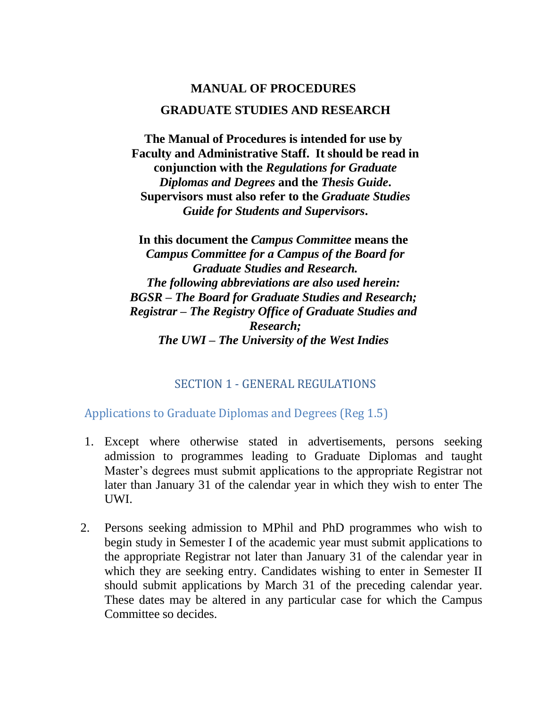# **MANUAL OF PROCEDURES GRADUATE STUDIES AND RESEARCH**

**The Manual of Procedures is intended for use by Faculty and Administrative Staff. It should be read in conjunction with the** *Regulations for Graduate Diplomas and Degrees* **and the** *Thesis Guide***. Supervisors must also refer to the** *Graduate Studies Guide for Students and Supervisors***.**

**In this document the** *Campus Committee* **means the**  *Campus Committee for a Campus of the Board for Graduate Studies and Research. The following abbreviations are also used herein: BGSR – The Board for Graduate Studies and Research; Registrar – The Registry Office of Graduate Studies and Research; The UWI – The University of the West Indies*

#### SECTION 1 - GENERAL REGULATIONS

<span id="page-2-1"></span><span id="page-2-0"></span>Applications to Graduate Diplomas and Degrees (Reg 1.5)

- 1. Except where otherwise stated in advertisements, persons seeking admission to programmes leading to Graduate Diplomas and taught Master's degrees must submit applications to the appropriate Registrar not later than January 31 of the calendar year in which they wish to enter The UWI.
- 2. Persons seeking admission to MPhil and PhD programmes who wish to begin study in Semester I of the academic year must submit applications to the appropriate Registrar not later than January 31 of the calendar year in which they are seeking entry. Candidates wishing to enter in Semester II should submit applications by March 31 of the preceding calendar year. These dates may be altered in any particular case for which the Campus Committee so decides.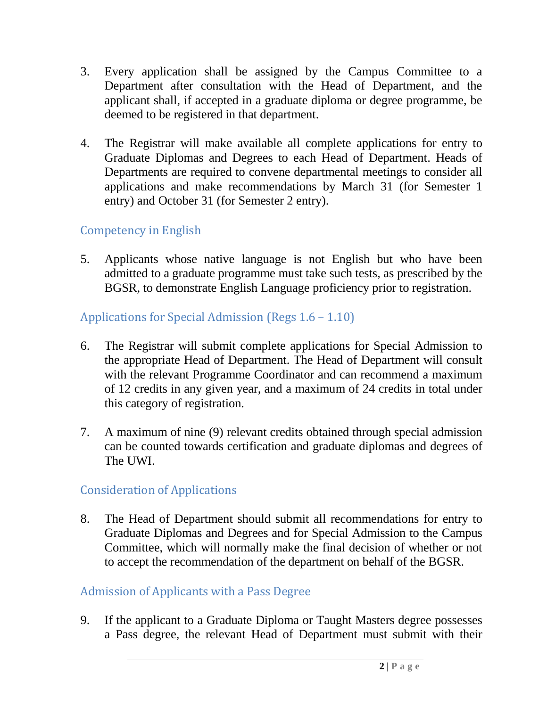- 3. Every application shall be assigned by the Campus Committee to a Department after consultation with the Head of Department, and the applicant shall, if accepted in a graduate diploma or degree programme, be deemed to be registered in that department.
- 4. The Registrar will make available all complete applications for entry to Graduate Diplomas and Degrees to each Head of Department. Heads of Departments are required to convene departmental meetings to consider all applications and make recommendations by March 31 (for Semester 1 entry) and October 31 (for Semester 2 entry).

## <span id="page-3-0"></span>Competency in English

5. Applicants whose native language is not English but who have been admitted to a graduate programme must take such tests, as prescribed by the BGSR, to demonstrate English Language proficiency prior to registration.

## <span id="page-3-1"></span>Applications for Special Admission (Regs 1.6 – 1.10)

- 6. The Registrar will submit complete applications for Special Admission to the appropriate Head of Department. The Head of Department will consult with the relevant Programme Coordinator and can recommend a maximum of 12 credits in any given year, and a maximum of 24 credits in total under this category of registration.
- 7. A maximum of nine (9) relevant credits obtained through special admission can be counted towards certification and graduate diplomas and degrees of The UWI.

## <span id="page-3-2"></span>Consideration of Applications

8. The Head of Department should submit all recommendations for entry to Graduate Diplomas and Degrees and for Special Admission to the Campus Committee, which will normally make the final decision of whether or not to accept the recommendation of the department on behalf of the BGSR.

## <span id="page-3-3"></span>Admission of Applicants with a Pass Degree

9. If the applicant to a Graduate Diploma or Taught Masters degree possesses a Pass degree, the relevant Head of Department must submit with their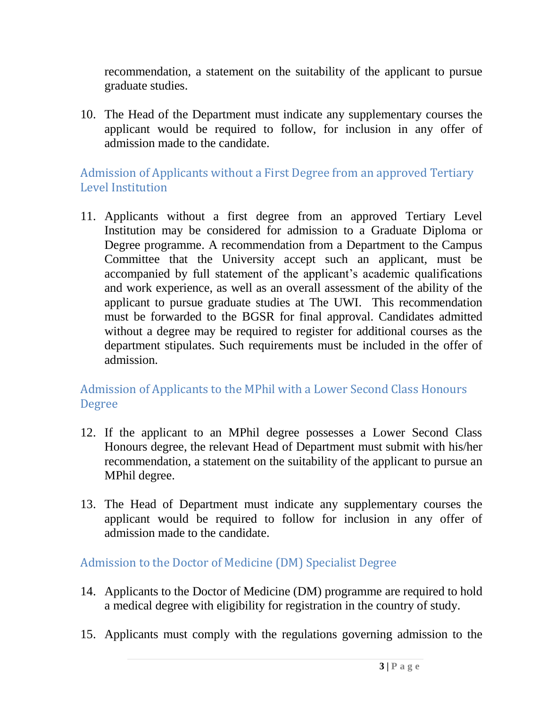recommendation, a statement on the suitability of the applicant to pursue graduate studies.

10. The Head of the Department must indicate any supplementary courses the applicant would be required to follow, for inclusion in any offer of admission made to the candidate.

## <span id="page-4-0"></span>Admission of Applicants without a First Degree from an approved Tertiary Level Institution

11. Applicants without a first degree from an approved Tertiary Level Institution may be considered for admission to a Graduate Diploma or Degree programme. A recommendation from a Department to the Campus Committee that the University accept such an applicant, must be accompanied by full statement of the applicant's academic qualifications and work experience, as well as an overall assessment of the ability of the applicant to pursue graduate studies at The UWI. This recommendation must be forwarded to the BGSR for final approval. Candidates admitted without a degree may be required to register for additional courses as the department stipulates. Such requirements must be included in the offer of admission.

## <span id="page-4-1"></span>Admission of Applicants to the MPhil with a Lower Second Class Honours Degree

- 12. If the applicant to an MPhil degree possesses a Lower Second Class Honours degree, the relevant Head of Department must submit with his/her recommendation, a statement on the suitability of the applicant to pursue an MPhil degree.
- 13. The Head of Department must indicate any supplementary courses the applicant would be required to follow for inclusion in any offer of admission made to the candidate.

#### <span id="page-4-2"></span>Admission to the Doctor of Medicine (DM) Specialist Degree

- 14. Applicants to the Doctor of Medicine (DM) programme are required to hold a medical degree with eligibility for registration in the country of study.
- 15. Applicants must comply with the regulations governing admission to the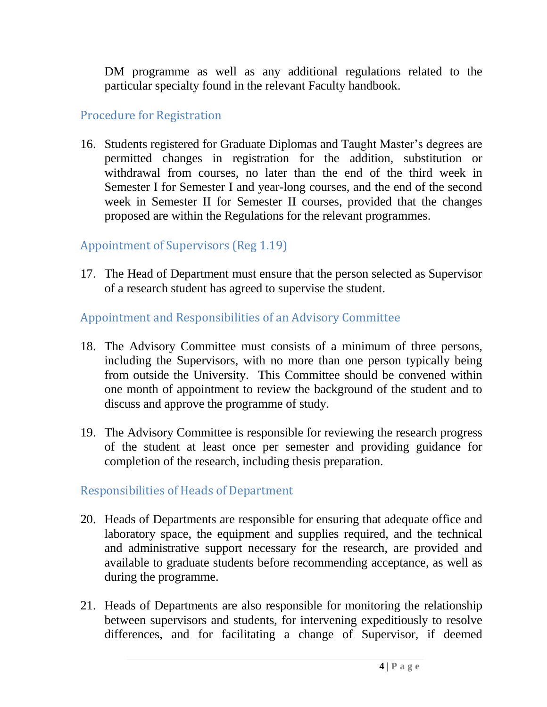DM programme as well as any additional regulations related to the particular specialty found in the relevant Faculty handbook.

#### <span id="page-5-0"></span>Procedure for Registration

16. Students registered for Graduate Diplomas and Taught Master's degrees are permitted changes in registration for the addition, substitution or withdrawal from courses, no later than the end of the third week in Semester I for Semester I and year-long courses, and the end of the second week in Semester II for Semester II courses, provided that the changes proposed are within the Regulations for the relevant programmes.

## <span id="page-5-1"></span>Appointment of Supervisors (Reg 1.19)

17. The Head of Department must ensure that the person selected as Supervisor of a research student has agreed to supervise the student.

## <span id="page-5-2"></span>Appointment and Responsibilities of an Advisory Committee

- 18. The Advisory Committee must consists of a minimum of three persons, including the Supervisors, with no more than one person typically being from outside the University. This Committee should be convened within one month of appointment to review the background of the student and to discuss and approve the programme of study.
- 19. The Advisory Committee is responsible for reviewing the research progress of the student at least once per semester and providing guidance for completion of the research, including thesis preparation.

## <span id="page-5-3"></span>Responsibilities of Heads of Department

- 20. Heads of Departments are responsible for ensuring that adequate office and laboratory space, the equipment and supplies required, and the technical and administrative support necessary for the research, are provided and available to graduate students before recommending acceptance, as well as during the programme.
- 21. Heads of Departments are also responsible for monitoring the relationship between supervisors and students, for intervening expeditiously to resolve differences, and for facilitating a change of Supervisor, if deemed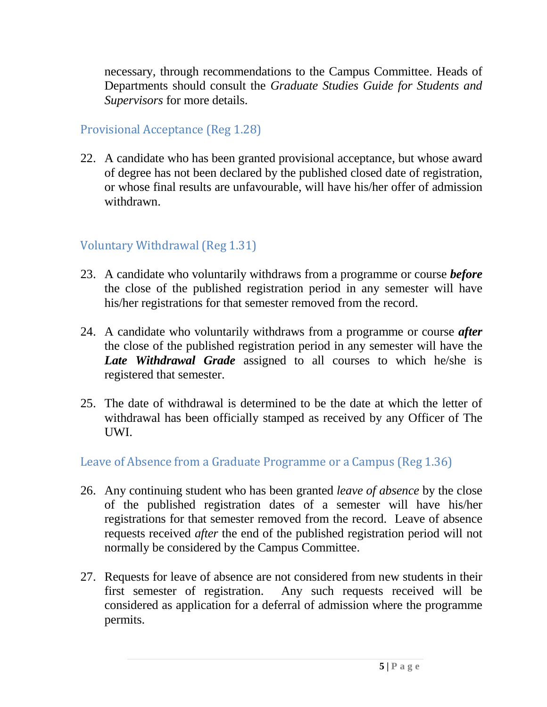necessary, through recommendations to the Campus Committee. Heads of Departments should consult the *Graduate Studies Guide for Students and Supervisors* for more details.

#### <span id="page-6-0"></span>Provisional Acceptance (Reg 1.28)

22. A candidate who has been granted provisional acceptance, but whose award of degree has not been declared by the published closed date of registration, or whose final results are unfavourable, will have his/her offer of admission withdrawn.

## <span id="page-6-1"></span>Voluntary Withdrawal (Reg 1.31)

- 23. A candidate who voluntarily withdraws from a programme or course *before* the close of the published registration period in any semester will have his/her registrations for that semester removed from the record.
- 24. A candidate who voluntarily withdraws from a programme or course *after* the close of the published registration period in any semester will have the *Late Withdrawal Grade* assigned to all courses to which he/she is registered that semester.
- 25. The date of withdrawal is determined to be the date at which the letter of withdrawal has been officially stamped as received by any Officer of The UWI.

#### <span id="page-6-2"></span>Leave of Absence from a Graduate Programme or a Campus (Reg 1.36)

- 26. Any continuing student who has been granted *leave of absence* by the close of the published registration dates of a semester will have his/her registrations for that semester removed from the record. Leave of absence requests received *after* the end of the published registration period will not normally be considered by the Campus Committee.
- 27. Requests for leave of absence are not considered from new students in their first semester of registration. Any such requests received will be considered as application for a deferral of admission where the programme permits.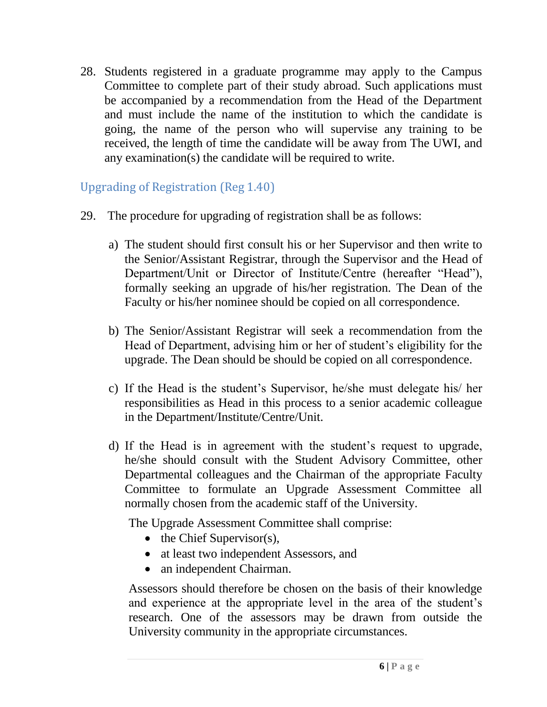28. Students registered in a graduate programme may apply to the Campus Committee to complete part of their study abroad. Such applications must be accompanied by a recommendation from the Head of the Department and must include the name of the institution to which the candidate is going, the name of the person who will supervise any training to be received, the length of time the candidate will be away from The UWI, and any examination(s) the candidate will be required to write.

## <span id="page-7-0"></span>Upgrading of Registration (Reg 1.40)

- 29. The procedure for upgrading of registration shall be as follows:
	- a) The student should first consult his or her Supervisor and then write to the Senior/Assistant Registrar, through the Supervisor and the Head of Department/Unit or Director of Institute/Centre (hereafter "Head"), formally seeking an upgrade of his/her registration. The Dean of the Faculty or his/her nominee should be copied on all correspondence.
	- b) The Senior/Assistant Registrar will seek a recommendation from the Head of Department, advising him or her of student's eligibility for the upgrade. The Dean should be should be copied on all correspondence.
	- c) If the Head is the student's Supervisor, he/she must delegate his/ her responsibilities as Head in this process to a senior academic colleague in the Department/Institute/Centre/Unit.
	- d) If the Head is in agreement with the student's request to upgrade, he/she should consult with the Student Advisory Committee, other Departmental colleagues and the Chairman of the appropriate Faculty Committee to formulate an Upgrade Assessment Committee all normally chosen from the academic staff of the University.

The Upgrade Assessment Committee shall comprise:

- $\bullet$  the Chief Supervisor(s),
- at least two independent Assessors, and
- an independent Chairman.

Assessors should therefore be chosen on the basis of their knowledge and experience at the appropriate level in the area of the student's research. One of the assessors may be drawn from outside the University community in the appropriate circumstances.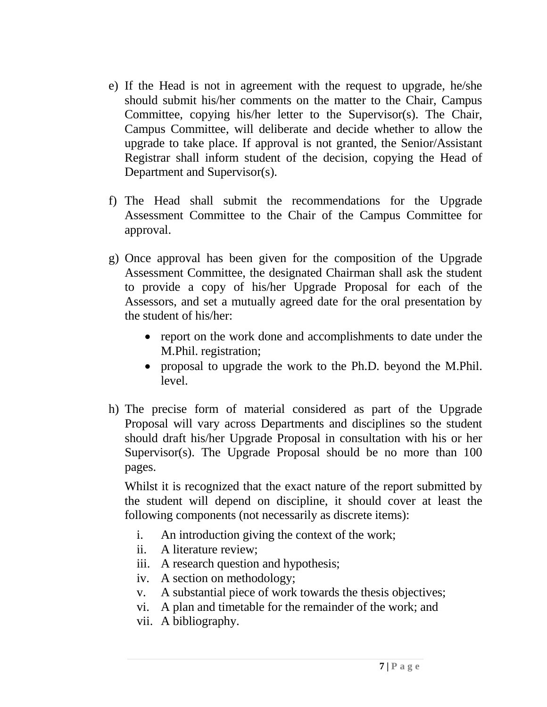- e) If the Head is not in agreement with the request to upgrade, he/she should submit his/her comments on the matter to the Chair, Campus Committee, copying his/her letter to the Supervisor(s). The Chair, Campus Committee, will deliberate and decide whether to allow the upgrade to take place. If approval is not granted, the Senior/Assistant Registrar shall inform student of the decision, copying the Head of Department and Supervisor(s).
- f) The Head shall submit the recommendations for the Upgrade Assessment Committee to the Chair of the Campus Committee for approval.
- g) Once approval has been given for the composition of the Upgrade Assessment Committee, the designated Chairman shall ask the student to provide a copy of his/her Upgrade Proposal for each of the Assessors, and set a mutually agreed date for the oral presentation by the student of his/her:
	- report on the work done and accomplishments to date under the M.Phil. registration;
	- proposal to upgrade the work to the Ph.D. beyond the M.Phil. level.
- h) The precise form of material considered as part of the Upgrade Proposal will vary across Departments and disciplines so the student should draft his/her Upgrade Proposal in consultation with his or her Supervisor(s). The Upgrade Proposal should be no more than 100 pages.

Whilst it is recognized that the exact nature of the report submitted by the student will depend on discipline, it should cover at least the following components (not necessarily as discrete items):

- i. An introduction giving the context of the work;
- ii. A literature review;
- iii. A research question and hypothesis;
- iv. A section on methodology;
- v. A substantial piece of work towards the thesis objectives;
- vi. A plan and timetable for the remainder of the work; and
- vii. A bibliography.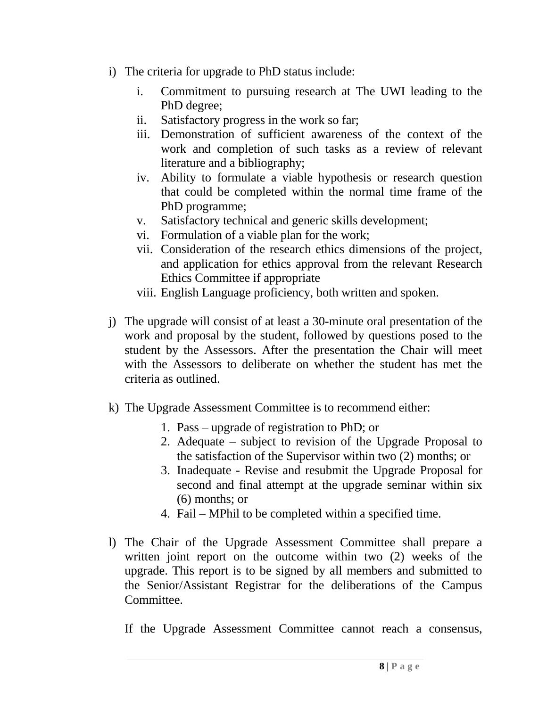- i) The criteria for upgrade to PhD status include:
	- i. Commitment to pursuing research at The UWI leading to the PhD degree;
	- ii. Satisfactory progress in the work so far;
	- iii. Demonstration of sufficient awareness of the context of the work and completion of such tasks as a review of relevant literature and a bibliography;
	- iv. Ability to formulate a viable hypothesis or research question that could be completed within the normal time frame of the PhD programme;
	- v. Satisfactory technical and generic skills development;
	- vi. Formulation of a viable plan for the work;
	- vii. Consideration of the research ethics dimensions of the project, and application for ethics approval from the relevant Research Ethics Committee if appropriate
	- viii. English Language proficiency, both written and spoken.
- j) The upgrade will consist of at least a 30-minute oral presentation of the work and proposal by the student, followed by questions posed to the student by the Assessors. After the presentation the Chair will meet with the Assessors to deliberate on whether the student has met the criteria as outlined.
- k) The Upgrade Assessment Committee is to recommend either:
	- 1. Pass upgrade of registration to PhD; or
	- 2. Adequate subject to revision of the Upgrade Proposal to the satisfaction of the Supervisor within two (2) months; or
	- 3. Inadequate Revise and resubmit the Upgrade Proposal for second and final attempt at the upgrade seminar within six (6) months; or
	- 4. Fail MPhil to be completed within a specified time.
- l) The Chair of the Upgrade Assessment Committee shall prepare a written joint report on the outcome within two (2) weeks of the upgrade. This report is to be signed by all members and submitted to the Senior/Assistant Registrar for the deliberations of the Campus Committee.

If the Upgrade Assessment Committee cannot reach a consensus,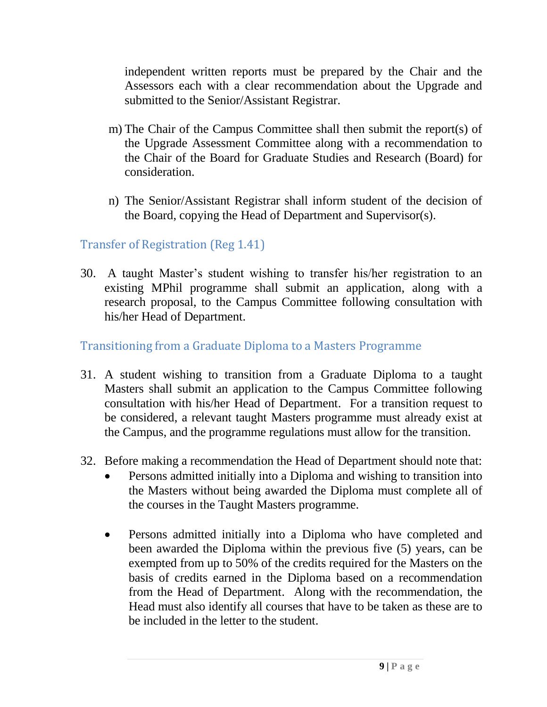independent written reports must be prepared by the Chair and the Assessors each with a clear recommendation about the Upgrade and submitted to the Senior/Assistant Registrar.

- m) The Chair of the Campus Committee shall then submit the report(s) of the Upgrade Assessment Committee along with a recommendation to the Chair of the Board for Graduate Studies and Research (Board) for consideration.
- n) The Senior/Assistant Registrar shall inform student of the decision of the Board, copying the Head of Department and Supervisor(s).

## <span id="page-10-0"></span>Transfer of Registration (Reg 1.41)

30. A taught Master's student wishing to transfer his/her registration to an existing MPhil programme shall submit an application, along with a research proposal, to the Campus Committee following consultation with his/her Head of Department.

#### <span id="page-10-1"></span>Transitioning from a Graduate Diploma to a Masters Programme

- 31. A student wishing to transition from a Graduate Diploma to a taught Masters shall submit an application to the Campus Committee following consultation with his/her Head of Department. For a transition request to be considered, a relevant taught Masters programme must already exist at the Campus, and the programme regulations must allow for the transition.
- 32. Before making a recommendation the Head of Department should note that:
	- Persons admitted initially into a Diploma and wishing to transition into the Masters without being awarded the Diploma must complete all of the courses in the Taught Masters programme.
	- Persons admitted initially into a Diploma who have completed and been awarded the Diploma within the previous five (5) years, can be exempted from up to 50% of the credits required for the Masters on the basis of credits earned in the Diploma based on a recommendation from the Head of Department. Along with the recommendation, the Head must also identify all courses that have to be taken as these are to be included in the letter to the student.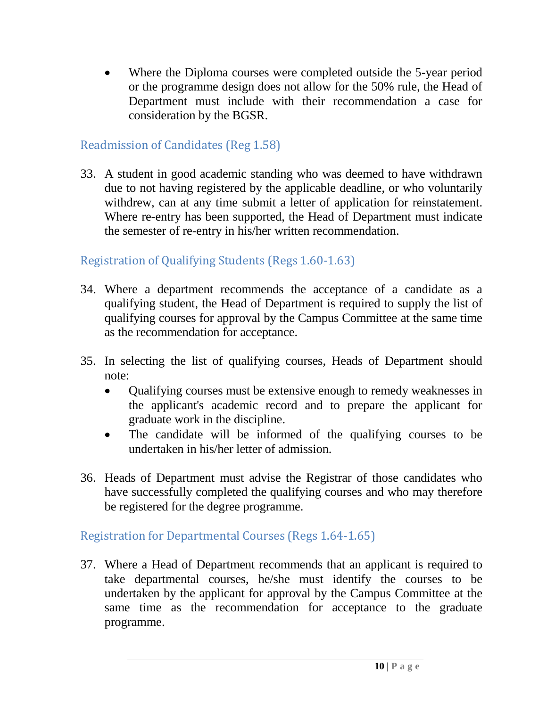Where the Diploma courses were completed outside the 5-year period or the programme design does not allow for the 50% rule, the Head of Department must include with their recommendation a case for consideration by the BGSR.

#### <span id="page-11-0"></span>Readmission of Candidates (Reg 1.58)

33. A student in good academic standing who was deemed to have withdrawn due to not having registered by the applicable deadline, or who voluntarily withdrew, can at any time submit a letter of application for reinstatement. Where re-entry has been supported, the Head of Department must indicate the semester of re-entry in his/her written recommendation.

## <span id="page-11-1"></span>Registration of Qualifying Students (Regs 1.60-1.63)

- 34. Where a department recommends the acceptance of a candidate as a qualifying student, the Head of Department is required to supply the list of qualifying courses for approval by the Campus Committee at the same time as the recommendation for acceptance.
- 35. In selecting the list of qualifying courses, Heads of Department should note:
	- Qualifying courses must be extensive enough to remedy weaknesses in the applicant's academic record and to prepare the applicant for graduate work in the discipline.
	- The candidate will be informed of the qualifying courses to be undertaken in his/her letter of admission.
- 36. Heads of Department must advise the Registrar of those candidates who have successfully completed the qualifying courses and who may therefore be registered for the degree programme.

## <span id="page-11-2"></span>Registration for Departmental Courses (Regs 1.64-1.65)

37. Where a Head of Department recommends that an applicant is required to take departmental courses, he/she must identify the courses to be undertaken by the applicant for approval by the Campus Committee at the same time as the recommendation for acceptance to the graduate programme.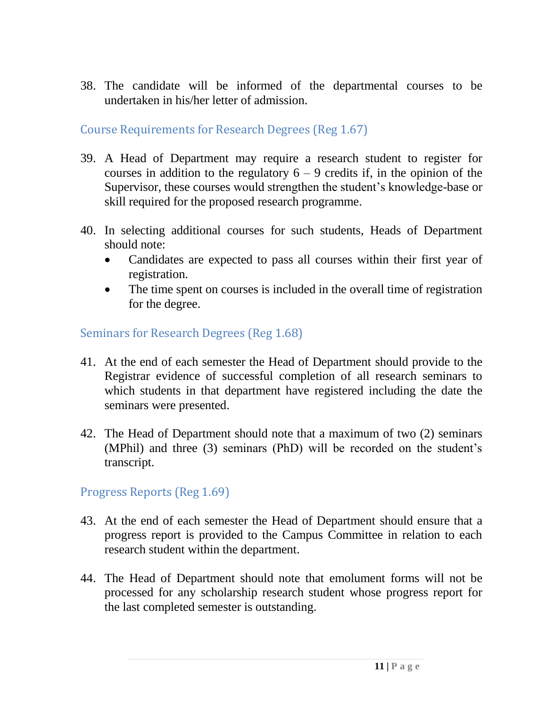38. The candidate will be informed of the departmental courses to be undertaken in his/her letter of admission.

<span id="page-12-0"></span>Course Requirements for Research Degrees (Reg 1.67)

- 39. A Head of Department may require a research student to register for courses in addition to the regulatory  $6 - 9$  credits if, in the opinion of the Supervisor, these courses would strengthen the student's knowledge-base or skill required for the proposed research programme.
- 40. In selecting additional courses for such students, Heads of Department should note:
	- Candidates are expected to pass all courses within their first year of registration.
	- The time spent on courses is included in the overall time of registration for the degree.

## <span id="page-12-1"></span>Seminars for Research Degrees (Reg 1.68)

- 41. At the end of each semester the Head of Department should provide to the Registrar evidence of successful completion of all research seminars to which students in that department have registered including the date the seminars were presented.
- 42. The Head of Department should note that a maximum of two (2) seminars (MPhil) and three (3) seminars (PhD) will be recorded on the student's transcript.

<span id="page-12-2"></span>Progress Reports (Reg 1.69)

- 43. At the end of each semester the Head of Department should ensure that a progress report is provided to the Campus Committee in relation to each research student within the department.
- 44. The Head of Department should note that emolument forms will not be processed for any scholarship research student whose progress report for the last completed semester is outstanding.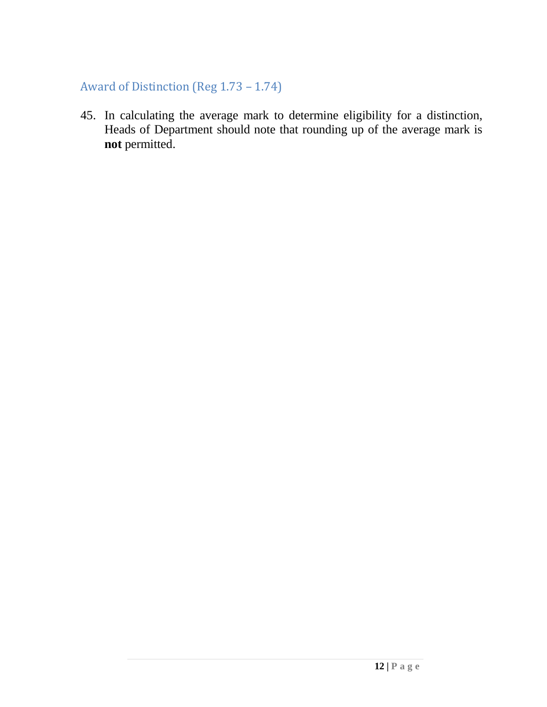## <span id="page-13-0"></span>Award of Distinction (Reg 1.73 – 1.74)

45. In calculating the average mark to determine eligibility for a distinction, Heads of Department should note that rounding up of the average mark is **not** permitted.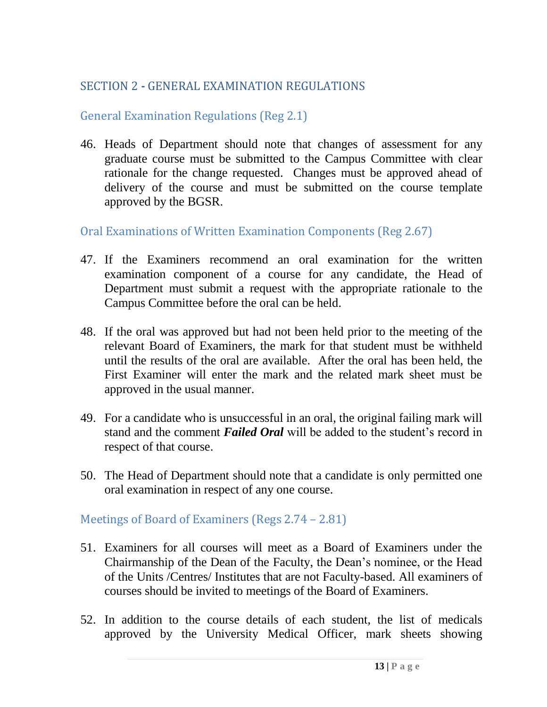## <span id="page-14-0"></span>SECTION 2 **-** GENERAL EXAMINATION REGULATIONS

## <span id="page-14-1"></span>General Examination Regulations (Reg 2.1)

46. Heads of Department should note that changes of assessment for any graduate course must be submitted to the Campus Committee with clear rationale for the change requested. Changes must be approved ahead of delivery of the course and must be submitted on the course template approved by the BGSR.

<span id="page-14-2"></span>Oral Examinations of Written Examination Components (Reg 2.67)

- 47. If the Examiners recommend an oral examination for the written examination component of a course for any candidate, the Head of Department must submit a request with the appropriate rationale to the Campus Committee before the oral can be held.
- 48. If the oral was approved but had not been held prior to the meeting of the relevant Board of Examiners, the mark for that student must be withheld until the results of the oral are available. After the oral has been held, the First Examiner will enter the mark and the related mark sheet must be approved in the usual manner.
- 49. For a candidate who is unsuccessful in an oral, the original failing mark will stand and the comment *Failed Oral* will be added to the student's record in respect of that course.
- 50. The Head of Department should note that a candidate is only permitted one oral examination in respect of any one course.

<span id="page-14-3"></span>Meetings of Board of Examiners (Regs 2.74 – 2.81)

- 51. Examiners for all courses will meet as a Board of Examiners under the Chairmanship of the Dean of the Faculty, the Dean's nominee, or the Head of the Units /Centres/ Institutes that are not Faculty-based. All examiners of courses should be invited to meetings of the Board of Examiners.
- 52. In addition to the course details of each student, the list of medicals approved by the University Medical Officer, mark sheets showing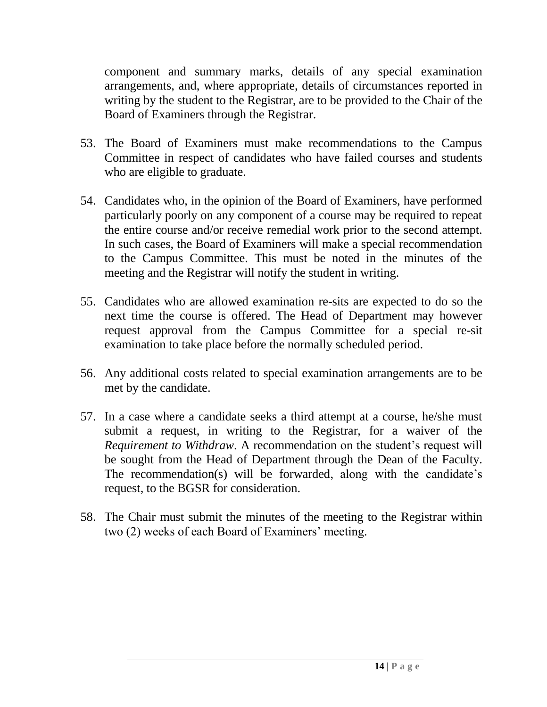component and summary marks, details of any special examination arrangements, and, where appropriate, details of circumstances reported in writing by the student to the Registrar, are to be provided to the Chair of the Board of Examiners through the Registrar.

- 53. The Board of Examiners must make recommendations to the Campus Committee in respect of candidates who have failed courses and students who are eligible to graduate.
- 54. Candidates who, in the opinion of the Board of Examiners, have performed particularly poorly on any component of a course may be required to repeat the entire course and/or receive remedial work prior to the second attempt. In such cases, the Board of Examiners will make a special recommendation to the Campus Committee. This must be noted in the minutes of the meeting and the Registrar will notify the student in writing.
- 55. Candidates who are allowed examination re-sits are expected to do so the next time the course is offered. The Head of Department may however request approval from the Campus Committee for a special re-sit examination to take place before the normally scheduled period.
- 56. Any additional costs related to special examination arrangements are to be met by the candidate.
- 57. In a case where a candidate seeks a third attempt at a course, he/she must submit a request, in writing to the Registrar, for a waiver of the *Requirement to Withdraw*. A recommendation on the student's request will be sought from the Head of Department through the Dean of the Faculty. The recommendation(s) will be forwarded, along with the candidate's request, to the BGSR for consideration.
- 58. The Chair must submit the minutes of the meeting to the Registrar within two (2) weeks of each Board of Examiners' meeting.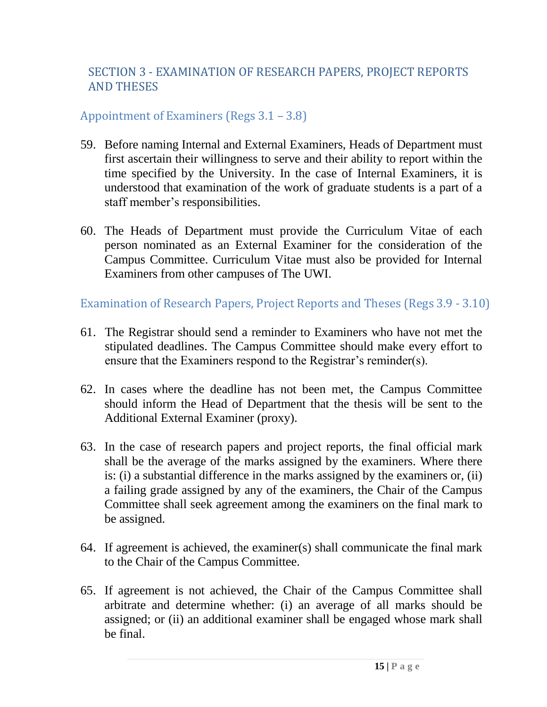## <span id="page-16-0"></span>SECTION 3 - EXAMINATION OF RESEARCH PAPERS, PROJECT REPORTS AND THESES

#### <span id="page-16-1"></span>Appointment of Examiners (Regs 3.1 – 3.8)

- 59. Before naming Internal and External Examiners, Heads of Department must first ascertain their willingness to serve and their ability to report within the time specified by the University. In the case of Internal Examiners, it is understood that examination of the work of graduate students is a part of a staff member's responsibilities.
- 60. The Heads of Department must provide the Curriculum Vitae of each person nominated as an External Examiner for the consideration of the Campus Committee. Curriculum Vitae must also be provided for Internal Examiners from other campuses of The UWI.

<span id="page-16-2"></span>Examination of Research Papers, Project Reports and Theses (Regs 3.9 - 3.10)

- 61. The Registrar should send a reminder to Examiners who have not met the stipulated deadlines. The Campus Committee should make every effort to ensure that the Examiners respond to the Registrar's reminder(s).
- 62. In cases where the deadline has not been met, the Campus Committee should inform the Head of Department that the thesis will be sent to the Additional External Examiner (proxy).
- 63. In the case of research papers and project reports, the final official mark shall be the average of the marks assigned by the examiners. Where there is: (i) a substantial difference in the marks assigned by the examiners or, (ii) a failing grade assigned by any of the examiners, the Chair of the Campus Committee shall seek agreement among the examiners on the final mark to be assigned.
- 64. If agreement is achieved, the examiner(s) shall communicate the final mark to the Chair of the Campus Committee.
- 65. If agreement is not achieved, the Chair of the Campus Committee shall arbitrate and determine whether: (i) an average of all marks should be assigned; or (ii) an additional examiner shall be engaged whose mark shall be final.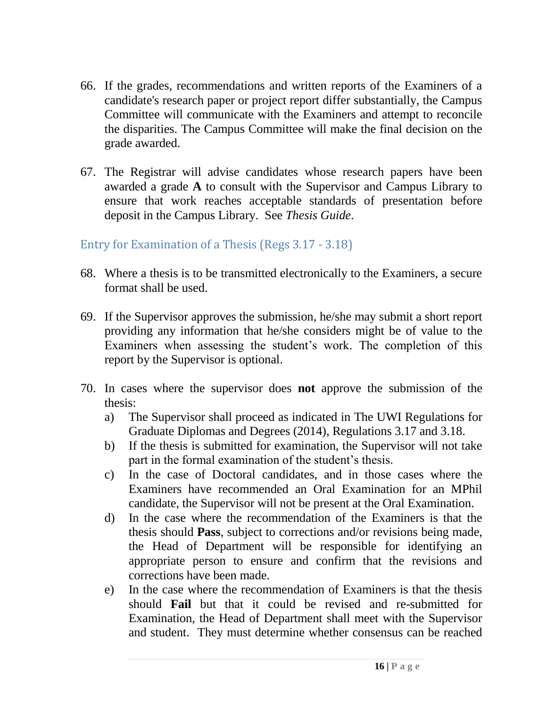- 66. If the grades, recommendations and written reports of the Examiners of a candidate's research paper or project report differ substantially, the Campus Committee will communicate with the Examiners and attempt to reconcile the disparities. The Campus Committee will make the final decision on the grade awarded.
- 67. The Registrar will advise candidates whose research papers have been awarded a grade **A** to consult with the Supervisor and Campus Library to ensure that work reaches acceptable standards of presentation before deposit in the Campus Library. See *Thesis Guide*.

#### <span id="page-17-0"></span>Entry for Examination of a Thesis (Regs 3.17 - 3.18)

- 68. Where a thesis is to be transmitted electronically to the Examiners, a secure format shall be used.
- 69. If the Supervisor approves the submission, he/she may submit a short report providing any information that he/she considers might be of value to the Examiners when assessing the student's work. The completion of this report by the Supervisor is optional.
- 70. In cases where the supervisor does **not** approve the submission of the thesis:
	- a) The Supervisor shall proceed as indicated in The UWI Regulations for Graduate Diplomas and Degrees (2014), Regulations 3.17 and 3.18.
	- b) If the thesis is submitted for examination, the Supervisor will not take part in the formal examination of the student's thesis.
	- c) In the case of Doctoral candidates, and in those cases where the Examiners have recommended an Oral Examination for an MPhil candidate, the Supervisor will not be present at the Oral Examination.
	- d) In the case where the recommendation of the Examiners is that the thesis should **Pass**, subject to corrections and/or revisions being made, the Head of Department will be responsible for identifying an appropriate person to ensure and confirm that the revisions and corrections have been made.
	- e) In the case where the recommendation of Examiners is that the thesis should **Fail** but that it could be revised and re-submitted for Examination, the Head of Department shall meet with the Supervisor and student. They must determine whether consensus can be reached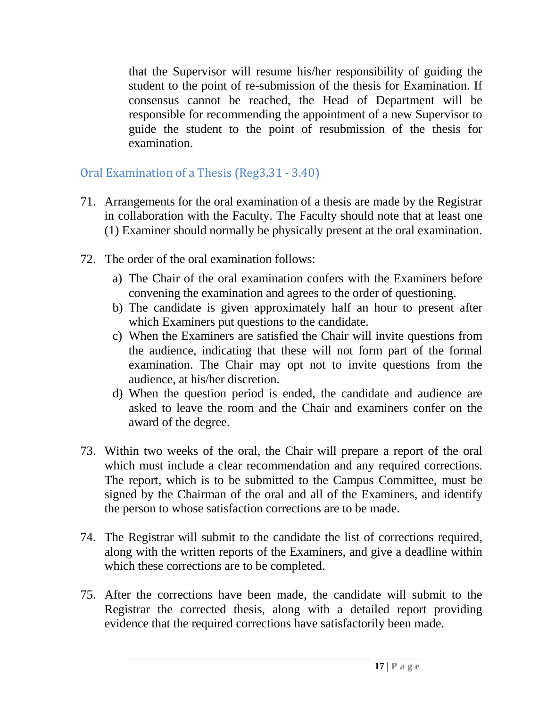that the Supervisor will resume his/her responsibility of guiding the student to the point of re-submission of the thesis for Examination. If consensus cannot be reached, the Head of Department will be responsible for recommending the appointment of a new Supervisor to guide the student to the point of resubmission of the thesis for examination.

<span id="page-18-0"></span>Oral Examination of a Thesis (Reg3.31 - 3.40)

- 71. Arrangements for the oral examination of a thesis are made by the Registrar in collaboration with the Faculty. The Faculty should note that at least one (1) Examiner should normally be physically present at the oral examination.
- 72. The order of the oral examination follows:
	- a) The Chair of the oral examination confers with the Examiners before convening the examination and agrees to the order of questioning.
	- b) The candidate is given approximately half an hour to present after which Examiners put questions to the candidate.
	- c) When the Examiners are satisfied the Chair will invite questions from the audience, indicating that these will not form part of the formal examination. The Chair may opt not to invite questions from the audience, at his/her discretion.
	- d) When the question period is ended, the candidate and audience are asked to leave the room and the Chair and examiners confer on the award of the degree.
- 73. Within two weeks of the oral, the Chair will prepare a report of the oral which must include a clear recommendation and any required corrections. The report, which is to be submitted to the Campus Committee, must be signed by the Chairman of the oral and all of the Examiners, and identify the person to whose satisfaction corrections are to be made.
- 74. The Registrar will submit to the candidate the list of corrections required, along with the written reports of the Examiners, and give a deadline within which these corrections are to be completed.
- 75. After the corrections have been made, the candidate will submit to the Registrar the corrected thesis, along with a detailed report providing evidence that the required corrections have satisfactorily been made.